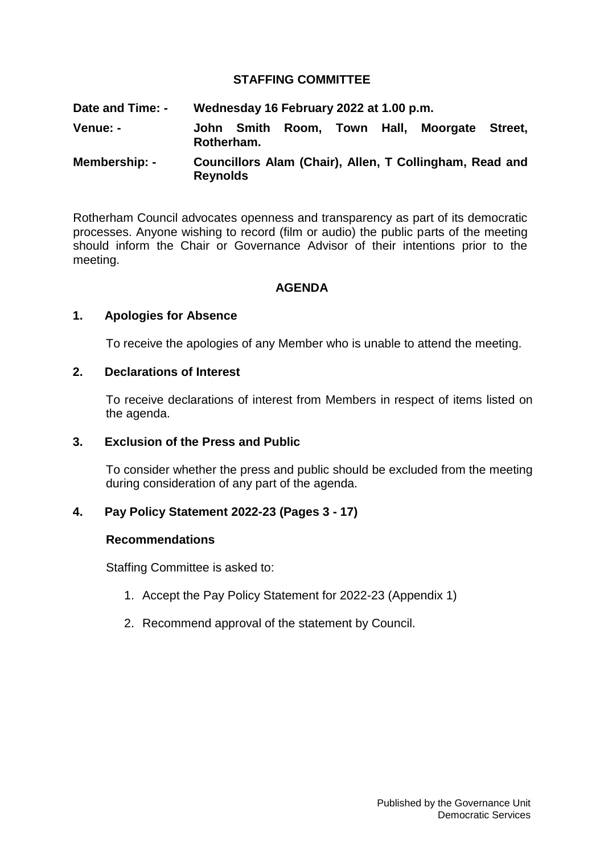## **STAFFING COMMITTEE**

**Date and Time: - Wednesday 16 February 2022 at 1.00 p.m. Venue: - John Smith Room, Town Hall, Moorgate Street, Rotherham. Membership: - Councillors Alam (Chair), Allen, T Collingham, Read and** 

Rotherham Council advocates openness and transparency as part of its democratic processes. Anyone wishing to record (film or audio) the public parts of the meeting should inform the Chair or Governance Advisor of their intentions prior to the meeting.

## **AGENDA**

### **1. Apologies for Absence**

To receive the apologies of any Member who is unable to attend the meeting.

### **2. Declarations of Interest**

To receive declarations of interest from Members in respect of items listed on the agenda.

#### **3. Exclusion of the Press and Public**

To consider whether the press and public should be excluded from the meeting during consideration of any part of the agenda.

#### **4. Pay Policy Statement 2022-23 (Pages 3 - 17)**

**Reynolds**

#### **Recommendations**

Staffing Committee is asked to:

- 1. Accept the Pay Policy Statement for 2022-23 (Appendix 1)
- 2. Recommend approval of the statement by Council.